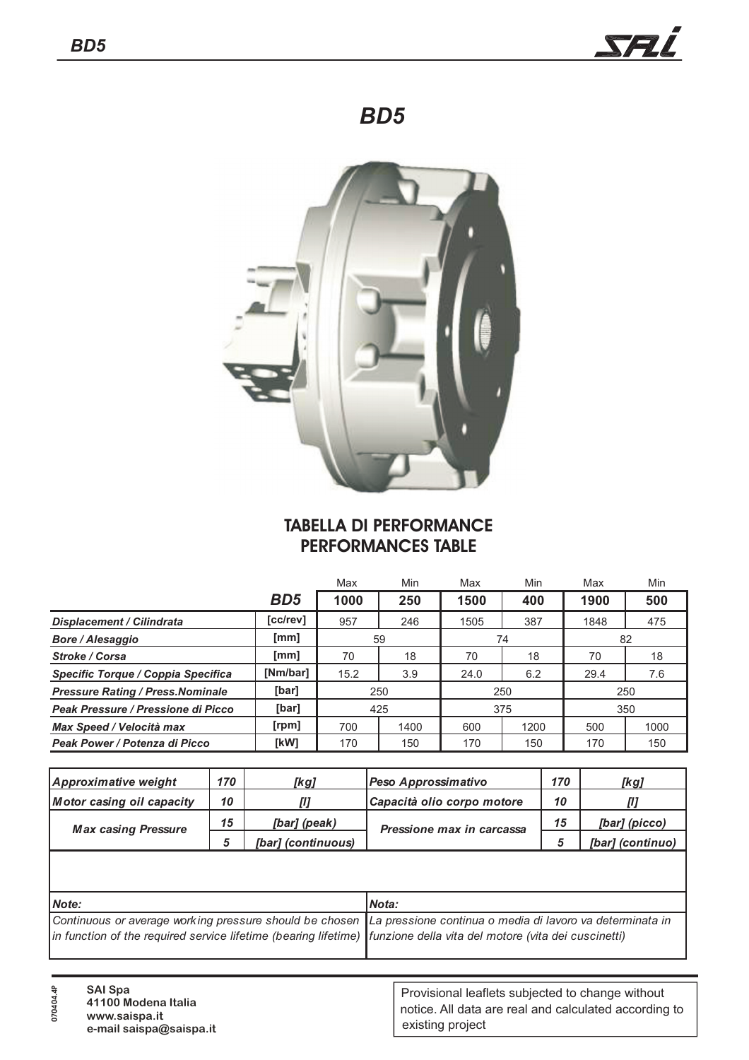

## *BD5*



## **TABELLA DI PERFORMANCE PERFORMANCES TABLE**

|                                              |            | Max  | Min  | Min<br>Max |          | Max  | Min  |  |
|----------------------------------------------|------------|------|------|------------|----------|------|------|--|
|                                              | <b>BD5</b> | 1000 | 250  | 1500       | 400      | 1900 | 500  |  |
| [cc/rev]<br><b>Displacement / Cilindrata</b> |            | 957  | 246  | 1505       | 387      | 1848 | 475  |  |
| <b>Bore / Alesaggio</b>                      | [mm]       |      | 59   |            | 74       | 82   |      |  |
| Stroke / Corsa                               | [mm]       | 70   | 18   | 70         | 18<br>70 |      | 18   |  |
| Specific Torque / Coppia Specifica           | [Nm/bar]   | 15.2 | 3.9  | 24.0       | 6.2      | 29.4 | 7.6  |  |
| <b>Pressure Rating / Press. Nominale</b>     | [bar]      |      | 250  |            | 250      | 250  |      |  |
| Peak Pressure / Pressione di Picco           | [bar]      | 425  |      | 375        |          | 350  |      |  |
| Max Speed / Velocità max                     | [rpm]      | 700  | 1400 | 600        | 1200     | 500  | 1000 |  |
| Peak Power / Potenza di Picco                | [kW]       | 170  | 150  | 170        | 150      | 170  | 150  |  |

| Approximative weight       | 170 | [kg]               | Peso Approssimativo        | 170 | [kg]             |
|----------------------------|-----|--------------------|----------------------------|-----|------------------|
| Motor casing oil capacity  | 10  |                    | Capacità olio corpo motore | 10  |                  |
| <b>Max casing Pressure</b> | 15  | [bar] (peak)       | Pressione max in carcassa  | 15  | [bar] (picco)    |
|                            |     | [bar] (continuous) |                            |     | [bar] (continuo) |

| Mote:                                                                                                                | Nota: |
|----------------------------------------------------------------------------------------------------------------------|-------|
| Continuous or average working pressure should be chosen La pressione continua o media di lavoro va determinata in    |       |
| in function of the required service lifetime (bearing lifetime) funzione della vita del motore (vita dei cuscinetti) |       |
|                                                                                                                      |       |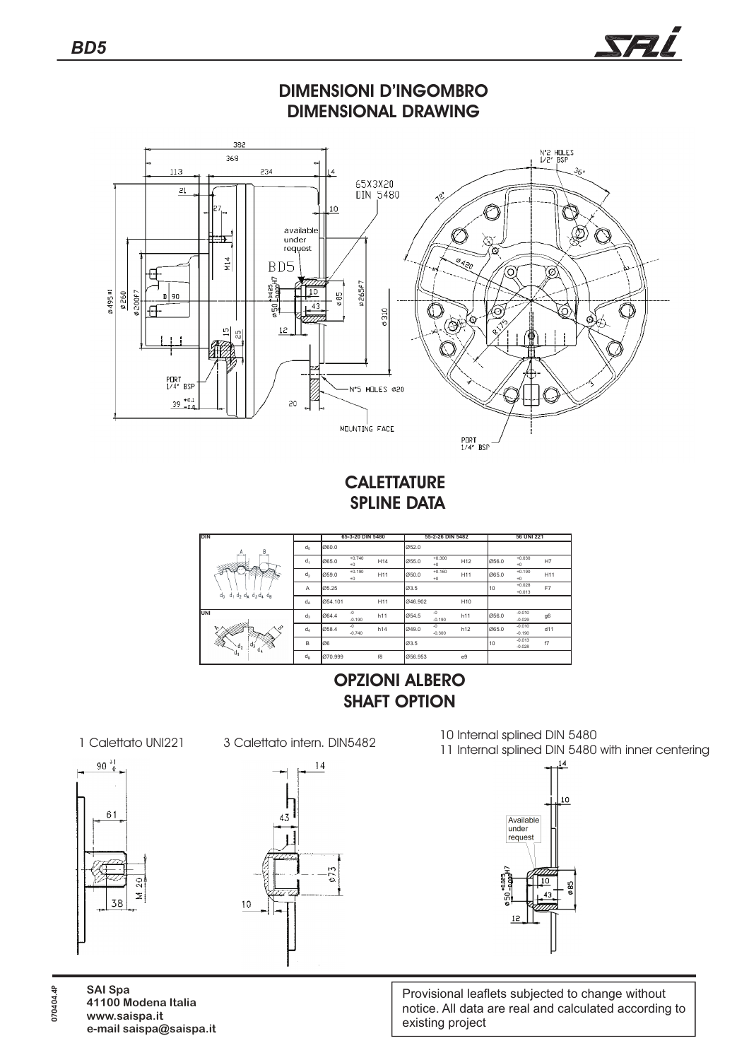

**SPLINE DATA**

| <b>DIN</b>                                    |                | 65-3-20 DIN 5480 |                  |                 | 55-2-26 DIN 5482 |                  |                 | 56 UNI 221 |                      |     |
|-----------------------------------------------|----------------|------------------|------------------|-----------------|------------------|------------------|-----------------|------------|----------------------|-----|
| B<br>А                                        | $d_0$          | 060.0            |                  |                 | 052.0            |                  |                 |            |                      |     |
| مشتما<br><b>Secretary</b>                     | $d_1$          | 065.0            | $+0.740$<br>$+0$ | H <sub>14</sub> | 055.0            | $+0.300$<br>$+0$ | H <sub>12</sub> | 056.0      | $+0.030$<br>$+0$     | H7  |
|                                               | d <sub>2</sub> | 059.0            | $+0.190$<br>$+0$ | H11             | 050.0            | $+0.160$<br>$+0$ | H11             | 065.0      | $+0.190$<br>$+0$     | H11 |
| $d_{\Omega}$<br>$d_1$ $d_2$ $d_3$ $d_4$ $d_5$ | A              | 05.25            |                  |                 | 03.5             |                  |                 | 10         | $+0.028$<br>$+0.013$ | F7  |
|                                               | $d_A$          | 054.101          |                  | H11             | 046.902          |                  | H10             |            |                      |     |
| UNI                                           | $d_3$          | 064.4            | $-0$<br>$-0.190$ | h11             | 054.5            | $-0$<br>$-0.190$ | h11             | 056.0      | $-0.010$<br>$-0.029$ | g6  |
| en er<br>o                                    | $d_4$          | 058.4            | $-0$<br>$-0.740$ | h14             | 049.0            | $-0$<br>$-0.300$ | h12             | 065.0      | $-0.010$<br>$-0.190$ | d11 |
| Ž<br>$\frac{1}{3}d_4$<br>$\mathbf{d}_2$<br>≫  | B              | Ø6               |                  |                 | 03.5             |                  |                 | 10         | $-0.013$<br>$-0.028$ | f7  |
| $d_{\rm I}$                                   | $d_B$          | 070.999          |                  | f8              | 056.953          |                  | e9              |            |                      |     |

## **OPZIONI ALBERO SHAFT OPTION**





 $14$ 073  $10$ 

10 Internal splined DIN 5480<br>11 Internal splined DIN 5480 11 Internal splined DIN 5480 11 Internal splined DIN 5480 with inner centering

SAL



Provisional leaflets subjected to change without notice. All data are real and calculated according to existing project

**SAI Spa 41100 Modena Italia www.saispa.it e-mail saispa@saispa.it**